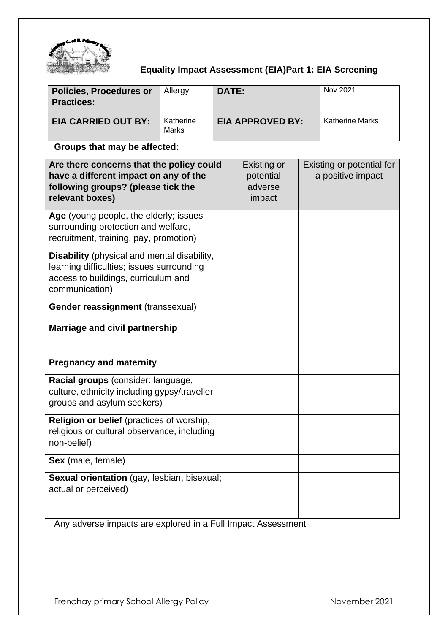

# **Equality Impact Assessment (EIA)Part 1: EIA Screening**

| <b>Policies, Procedures or</b><br><b>Practices:</b> | Allergy                   | DATE:                   | Nov 2021               |
|-----------------------------------------------------|---------------------------|-------------------------|------------------------|
| <b>EIA CARRIED OUT BY:</b>                          | Katherine<br><b>Marks</b> | <b>EIA APPROVED BY:</b> | <b>Katherine Marks</b> |

# **Groups that may be affected:**

| Are there concerns that the policy could<br>have a different impact on any of the<br>following groups? (please tick the<br>relevant boxes)        | Existing or<br>potential<br>adverse<br>impact | Existing or potential for<br>a positive impact |
|---------------------------------------------------------------------------------------------------------------------------------------------------|-----------------------------------------------|------------------------------------------------|
| Age (young people, the elderly; issues<br>surrounding protection and welfare,<br>recruitment, training, pay, promotion)                           |                                               |                                                |
| Disability (physical and mental disability,<br>learning difficulties; issues surrounding<br>access to buildings, curriculum and<br>communication) |                                               |                                                |
| Gender reassignment (transsexual)                                                                                                                 |                                               |                                                |
| Marriage and civil partnership                                                                                                                    |                                               |                                                |
| <b>Pregnancy and maternity</b>                                                                                                                    |                                               |                                                |
| Racial groups (consider: language,<br>culture, ethnicity including gypsy/traveller<br>groups and asylum seekers)                                  |                                               |                                                |
| Religion or belief (practices of worship,<br>religious or cultural observance, including<br>non-belief)                                           |                                               |                                                |
| Sex (male, female)                                                                                                                                |                                               |                                                |
| Sexual orientation (gay, lesbian, bisexual;<br>actual or perceived)                                                                               |                                               |                                                |

Any adverse impacts are explored in a Full Impact Assessment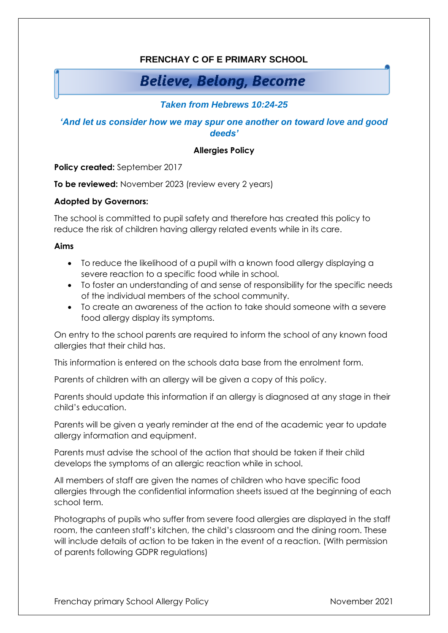# **FRENCHAY C OF E PRIMARY SCHOOL**

# **Believe, Belong, Become**

# *Taken from Hebrews 10:24-25*

## *'And let us consider how we may spur one another on toward love and good deeds'*

#### **Allergies Policy**

**Policy created:** September 2017

**To be reviewed:** November 2023 (review every 2 years)

#### **Adopted by Governors:**

The school is committed to pupil safety and therefore has created this policy to reduce the risk of children having allergy related events while in its care.

#### **Aims**

- To reduce the likelihood of a pupil with a known food allergy displaying a severe reaction to a specific food while in school.
- To foster an understanding of and sense of responsibility for the specific needs of the individual members of the school community.
- To create an awareness of the action to take should someone with a severe food allergy display its symptoms.

On entry to the school parents are required to inform the school of any known food allergies that their child has.

This information is entered on the schools data base from the enrolment form.

Parents of children with an allergy will be given a copy of this policy.

Parents should update this information if an allergy is diagnosed at any stage in their child's education.

Parents will be given a yearly reminder at the end of the academic year to update allergy information and equipment.

Parents must advise the school of the action that should be taken if their child develops the symptoms of an allergic reaction while in school.

All members of staff are given the names of children who have specific food allergies through the confidential information sheets issued at the beginning of each school term.

Photographs of pupils who suffer from severe food allergies are displayed in the staff room, the canteen staff's kitchen, the child's classroom and the dining room. These will include details of action to be taken in the event of a reaction. (With permission of parents following GDPR regulations)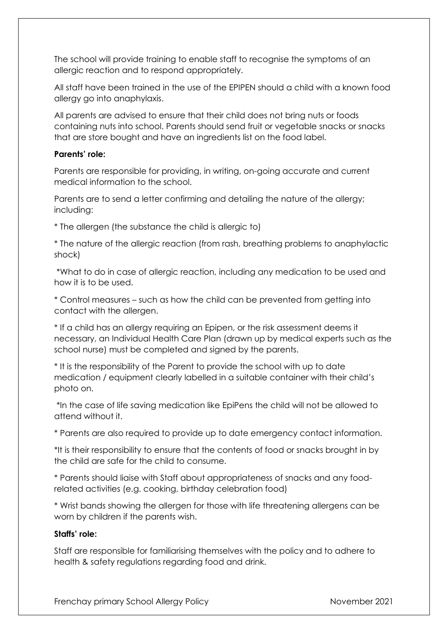The school will provide training to enable staff to recognise the symptoms of an allergic reaction and to respond appropriately.

All staff have been trained in the use of the EPIPEN should a child with a known food allergy go into anaphylaxis.

All parents are advised to ensure that their child does not bring nuts or foods containing nuts into school. Parents should send fruit or vegetable snacks or snacks that are store bought and have an ingredients list on the food label.

#### **Parents' role:**

Parents are responsible for providing, in writing, on-going accurate and current medical information to the school.

Parents are to send a letter confirming and detailing the nature of the allergy; including:

\* The allergen (the substance the child is allergic to)

\* The nature of the allergic reaction (from rash, breathing problems to anaphylactic shock)

\*What to do in case of allergic reaction, including any medication to be used and how it is to be used.

\* Control measures – such as how the child can be prevented from getting into contact with the allergen.

\* If a child has an allergy requiring an Epipen, or the risk assessment deems it necessary, an Individual Health Care Plan (drawn up by medical experts such as the school nurse) must be completed and signed by the parents.

\* It is the responsibility of the Parent to provide the school with up to date medication / equipment clearly labelled in a suitable container with their child's photo on.

\*In the case of life saving medication like EpiPens the child will not be allowed to attend without it.

\* Parents are also required to provide up to date emergency contact information.

\*It is their responsibility to ensure that the contents of food or snacks brought in by the child are safe for the child to consume.

\* Parents should liaise with Staff about appropriateness of snacks and any foodrelated activities (e.g. cooking, birthday celebration food)

\* Wrist bands showing the allergen for those with life threatening allergens can be worn by children if the parents wish.

#### **Staffs' role:**

Staff are responsible for familiarising themselves with the policy and to adhere to health & safety regulations regarding food and drink.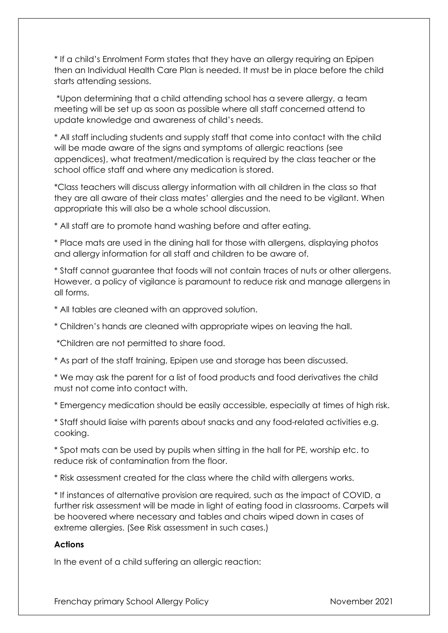\* If a child's Enrolment Form states that they have an allergy requiring an Epipen then an Individual Health Care Plan is needed. It must be in place before the child starts attending sessions.

\*Upon determining that a child attending school has a severe allergy, a team meeting will be set up as soon as possible where all staff concerned attend to update knowledge and awareness of child's needs.

\* All staff including students and supply staff that come into contact with the child will be made aware of the signs and symptoms of allergic reactions (see appendices), what treatment/medication is required by the class teacher or the school office staff and where any medication is stored.

\*Class teachers will discuss allergy information with all children in the class so that they are all aware of their class mates' allergies and the need to be vigilant. When appropriate this will also be a whole school discussion.

\* All staff are to promote hand washing before and after eating.

\* Place mats are used in the dining hall for those with allergens, displaying photos and allergy information for all staff and children to be aware of.

\* Staff cannot guarantee that foods will not contain traces of nuts or other allergens. However, a policy of vigilance is paramount to reduce risk and manage allergens in all forms.

\* All tables are cleaned with an approved solution.

\* Children's hands are cleaned with appropriate wipes on leaving the hall.

\*Children are not permitted to share food.

\* As part of the staff training, Epipen use and storage has been discussed.

\* We may ask the parent for a list of food products and food derivatives the child must not come into contact with.

\* Emergency medication should be easily accessible, especially at times of high risk.

\* Staff should liaise with parents about snacks and any food-related activities e.g. cooking.

\* Spot mats can be used by pupils when sitting in the hall for PE, worship etc. to reduce risk of contamination from the floor.

\* Risk assessment created for the class where the child with allergens works.

\* If instances of alternative provision are required, such as the impact of COVID, a further risk assessment will be made in light of eating food in classrooms. Carpets will be hoovered where necessary and tables and chairs wiped down in cases of extreme allergies. (See Risk assessment in such cases.)

## **Actions**

In the event of a child suffering an allergic reaction: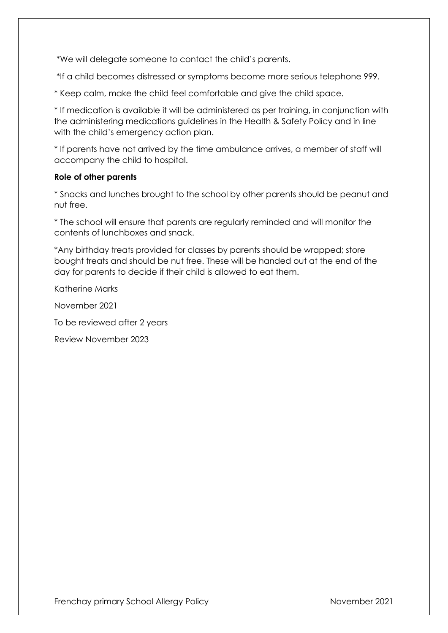\*We will delegate someone to contact the child's parents.

\*If a child becomes distressed or symptoms become more serious telephone 999.

\* Keep calm, make the child feel comfortable and give the child space.

\* If medication is available it will be administered as per training, in conjunction with the administering medications guidelines in the Health & Safety Policy and in line with the child's emergency action plan.

\* If parents have not arrived by the time ambulance arrives, a member of staff will accompany the child to hospital.

#### **Role of other parents**

\* Snacks and lunches brought to the school by other parents should be peanut and nut free.

\* The school will ensure that parents are regularly reminded and will monitor the contents of lunchboxes and snack.

\*Any birthday treats provided for classes by parents should be wrapped; store bought treats and should be nut free. These will be handed out at the end of the day for parents to decide if their child is allowed to eat them.

Katherine Marks

November 2021

To be reviewed after 2 years

Review November 2023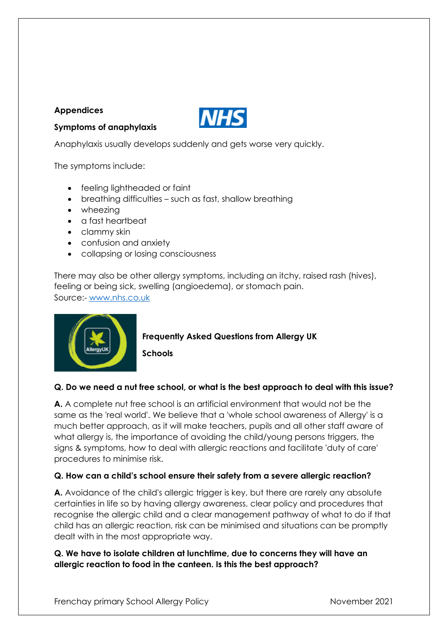## **Appendices**



**Symptoms of anaphylaxis**

Anaphylaxis usually develops suddenly and gets worse very quickly.

The symptoms include:

- feeling lightheaded or faint
- breathing difficulties such as fast, shallow breathing
- wheezing
- a fast heartbeat
- clammy skin
- confusion and anxiety
- collapsing or losing consciousness

There may also be other allergy symptoms, including an itchy, raised rash (hives), feeling or being sick, swelling (angioedema), or stomach pain. Source:- [www.nhs.co.uk](http://www.nhs.co.uk/)



**Frequently Asked Questions from Allergy UK**

**Schools**

## **Q. Do we need a nut free school, or what is the best approach to deal with this issue?**

**A.** A complete nut free school is an artificial environment that would not be the same as the 'real world'. We believe that a 'whole school awareness of Allergy' is a much better approach, as it will make teachers, pupils and all other staff aware of what allergy is, the importance of avoiding the child/young persons triggers, the signs & symptoms, how to deal with allergic reactions and facilitate 'duty of care' procedures to minimise risk.

## **Q. How can a child's school ensure their safety from a severe allergic reaction?**

**A.** Avoidance of the child's allergic trigger is key, but there are rarely any absolute certainties in life so by having allergy awareness, clear policy and procedures that recognise the allergic child and a clear management pathway of what to do if that child has an allergic reaction, risk can be minimised and situations can be promptly dealt with in the most appropriate way.

## **Q. We have to isolate children at lunchtime, due to concerns they will have an allergic reaction to food in the canteen. Is this the best approach?**